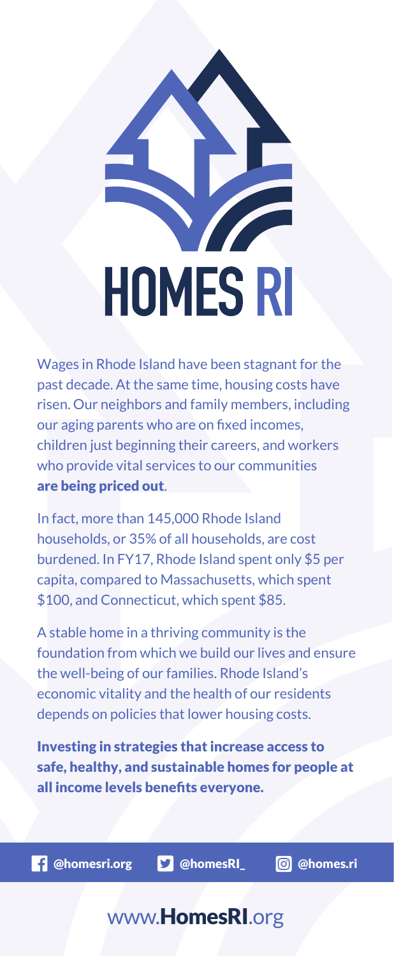

Wages in Rhode Island have been stagnant for the past decade. At the same time, housing costs have risen. Our neighbors and family members, including our aging parents who are on fixed incomes, children just beginning their careers, and workers who provide vital services to our communities are being priced out.

In fact, more than 145,000 Rhode Island households, or 35% of all households, are cost burdened. In FY17, Rhode Island spent only \$5 per capita, compared to Massachusetts, which spent \$100, and Connecticut, which spent \$85.

A stable home in a thriving community is the foundation from which we build our lives and ensure the well-being of our families. Rhode Island's economic vitality and the health of our residents depends on policies that lower housing costs.

Investing in strategies that increase access to safe, healthy, and sustainable homes for people at all income levels benefits everyone.

**1** @homesri.org **\epson** @homes.ri

## www.HomesRI.org